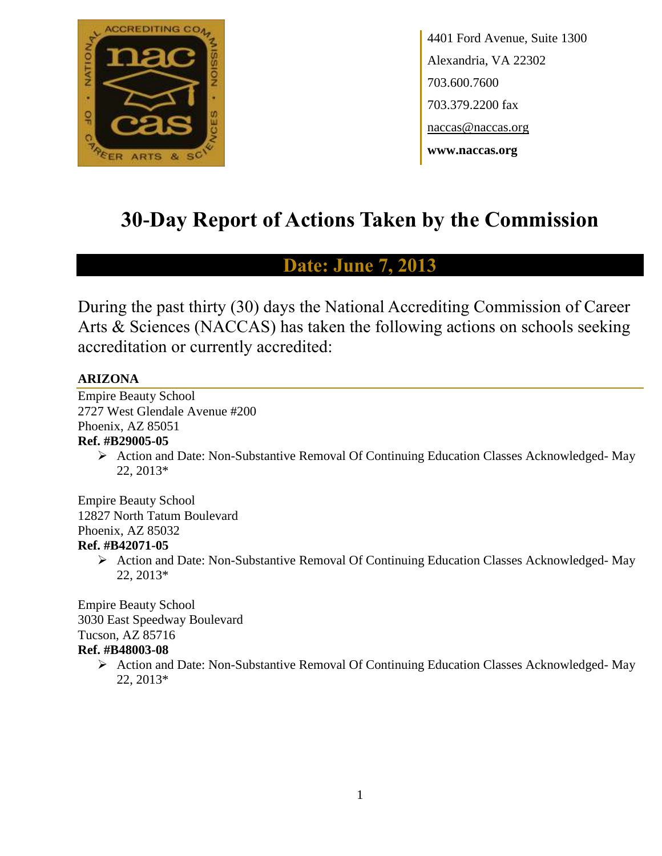

4401 Ford Avenue, Suite 1300 Alexandria, VA 22302 703.600.7600 703.379.2200 fax naccas@naccas.org **www.naccas.org**

# **30-Day Report of Actions Taken by the Commission**

# **Date: June 7, 2013**

During the past thirty (30) days the National Accrediting Commission of Career Arts & Sciences (NACCAS) has taken the following actions on schools seeking accreditation or currently accredited:

# **ARIZONA**

Empire Beauty School 2727 West Glendale Avenue #200 Phoenix, AZ 85051

### **Ref. #B29005-05**

 Action and Date: Non-Substantive Removal Of Continuing Education Classes Acknowledged- May 22, 2013\*

Empire Beauty School 12827 North Tatum Boulevard Phoenix, AZ 85032 **Ref. #B42071-05**

> Action and Date: Non-Substantive Removal Of Continuing Education Classes Acknowledged- May 22, 2013\*

Empire Beauty School 3030 East Speedway Boulevard Tucson, AZ 85716 **Ref. #B48003-08**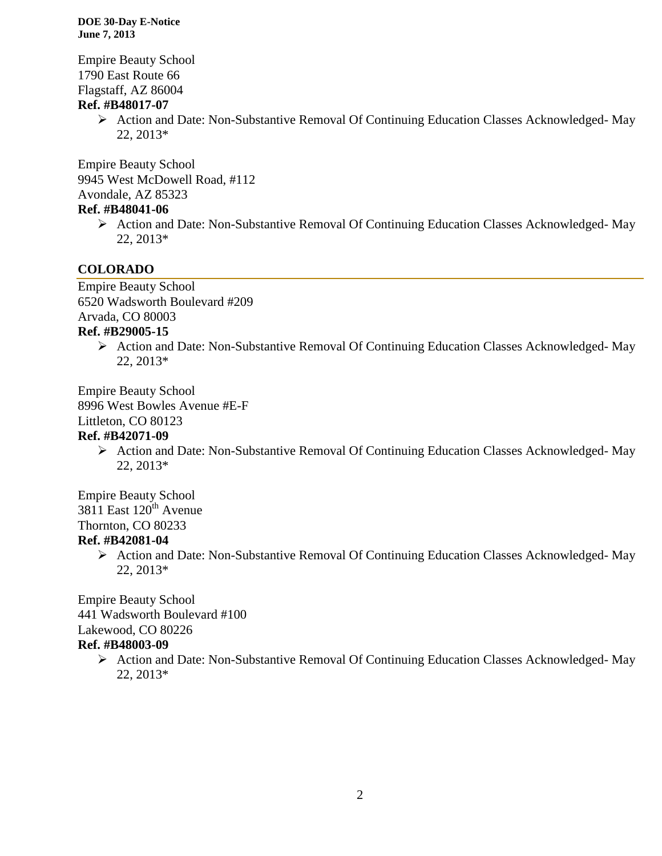Empire Beauty School 1790 East Route 66 Flagstaff, AZ 86004

#### **Ref. #B48017-07**

 $\triangleright$  Action and Date: Non-Substantive Removal Of Continuing Education Classes Acknowledged-May 22, 2013\*

Empire Beauty School 9945 West McDowell Road, #112 Avondale, AZ 85323

# **Ref. #B48041-06**

 Action and Date: Non-Substantive Removal Of Continuing Education Classes Acknowledged- May 22, 2013\*

#### **COLORADO**

Empire Beauty School 6520 Wadsworth Boulevard #209 Arvada, CO 80003 **Ref. #B29005-15**

> Action and Date: Non-Substantive Removal Of Continuing Education Classes Acknowledged- May 22, 2013\*

Empire Beauty School 8996 West Bowles Avenue #E-F Littleton, CO 80123

#### **Ref. #B42071-09**

 $\triangleright$  Action and Date: Non-Substantive Removal Of Continuing Education Classes Acknowledged-May 22, 2013\*

Empire Beauty School 3811 East 120<sup>th</sup> Avenue Thornton, CO 80233

#### **Ref. #B42081-04**

 $\triangleright$  Action and Date: Non-Substantive Removal Of Continuing Education Classes Acknowledged-May 22, 2013\*

Empire Beauty School 441 Wadsworth Boulevard #100 Lakewood, CO 80226 **Ref. #B48003-09**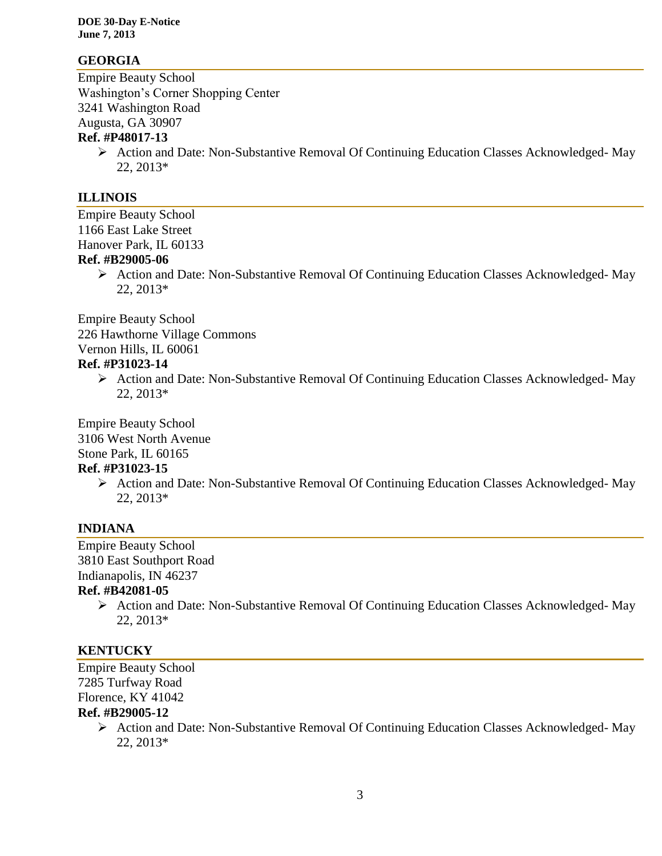#### **GEORGIA**

Empire Beauty School Washington's Corner Shopping Center 3241 Washington Road Augusta, GA 30907 **Ref. #P48017-13**

 Action and Date: Non-Substantive Removal Of Continuing Education Classes Acknowledged- May 22, 2013\*

#### **ILLINOIS**

Empire Beauty School 1166 East Lake Street Hanover Park, IL 60133 **Ref. #B29005-06**

> $\triangleright$  Action and Date: Non-Substantive Removal Of Continuing Education Classes Acknowledged- May 22, 2013\*

Empire Beauty School 226 Hawthorne Village Commons Vernon Hills, IL 60061

# **Ref. #P31023-14**

 Action and Date: Non-Substantive Removal Of Continuing Education Classes Acknowledged- May 22, 2013\*

Empire Beauty School 3106 West North Avenue Stone Park, IL 60165 **Ref. #P31023-15**

> Action and Date: Non-Substantive Removal Of Continuing Education Classes Acknowledged- May 22, 2013\*

#### **INDIANA**

Empire Beauty School 3810 East Southport Road Indianapolis, IN 46237

#### **Ref. #B42081-05**

 Action and Date: Non-Substantive Removal Of Continuing Education Classes Acknowledged- May 22, 2013\*

#### **KENTUCKY**

Empire Beauty School 7285 Turfway Road Florence, KY 41042 **Ref. #B29005-12**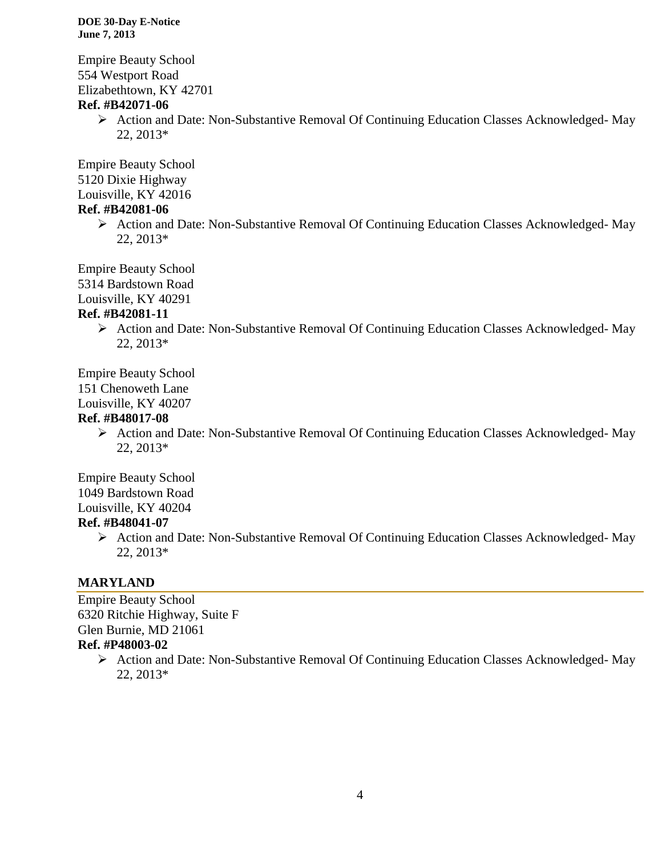Empire Beauty School 554 Westport Road Elizabethtown, KY 42701

# **Ref. #B42071-06**

 Action and Date: Non-Substantive Removal Of Continuing Education Classes Acknowledged- May 22, 2013\*

Empire Beauty School 5120 Dixie Highway Louisville, KY 42016

# **Ref. #B42081-06**

 Action and Date: Non-Substantive Removal Of Continuing Education Classes Acknowledged- May 22, 2013\*

Empire Beauty School

5314 Bardstown Road

Louisville, KY 40291

# **Ref. #B42081-11**

 Action and Date: Non-Substantive Removal Of Continuing Education Classes Acknowledged- May 22, 2013\*

Empire Beauty School 151 Chenoweth Lane

Louisville, KY 40207

# **Ref. #B48017-08**

 Action and Date: Non-Substantive Removal Of Continuing Education Classes Acknowledged- May 22, 2013\*

Empire Beauty School 1049 Bardstown Road Louisville, KY 40204

# **Ref. #B48041-07**

 Action and Date: Non-Substantive Removal Of Continuing Education Classes Acknowledged- May 22, 2013\*

# **MARYLAND**

Empire Beauty School 6320 Ritchie Highway, Suite F Glen Burnie, MD 21061 **Ref. #P48003-02**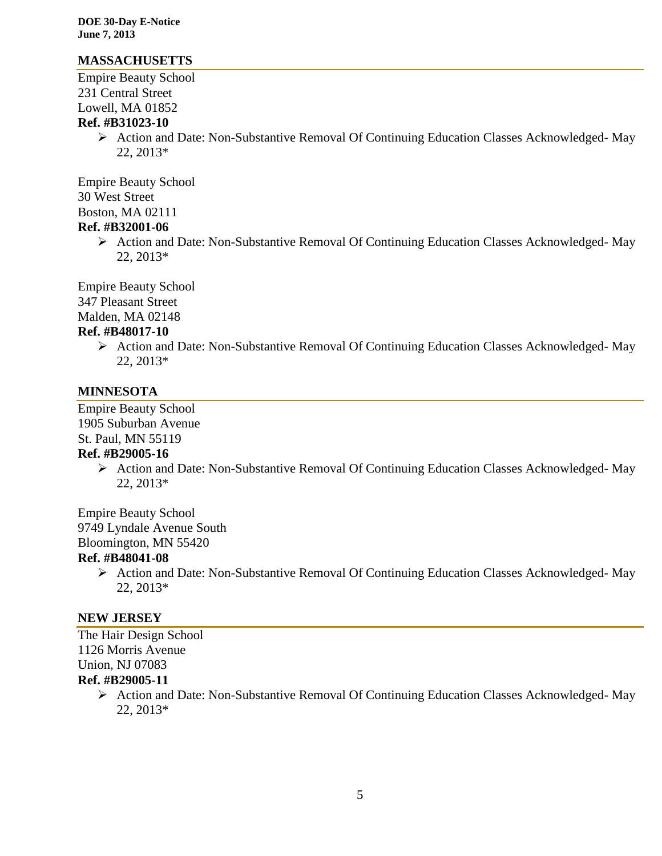#### **MASSACHUSETTS**

Empire Beauty School 231 Central Street Lowell, MA 01852

#### **Ref. #B31023-10**

 Action and Date: Non-Substantive Removal Of Continuing Education Classes Acknowledged- May 22, 2013\*

Empire Beauty School 30 West Street Boston, MA 02111 **Ref. #B32001-06**

> Action and Date: Non-Substantive Removal Of Continuing Education Classes Acknowledged- May 22, 2013\*

Empire Beauty School

347 Pleasant Street

Malden, MA 02148

# **Ref. #B48017-10**

 Action and Date: Non-Substantive Removal Of Continuing Education Classes Acknowledged- May 22, 2013\*

#### **MINNESOTA**

Empire Beauty School 1905 Suburban Avenue St. Paul, MN 55119

#### **Ref. #B29005-16**

 Action and Date: Non-Substantive Removal Of Continuing Education Classes Acknowledged- May 22, 2013\*

Empire Beauty School 9749 Lyndale Avenue South Bloomington, MN 55420

#### **Ref. #B48041-08**

 Action and Date: Non-Substantive Removal Of Continuing Education Classes Acknowledged- May 22, 2013\*

#### **NEW JERSEY**

The Hair Design School 1126 Morris Avenue Union, NJ 07083 **Ref. #B29005-11**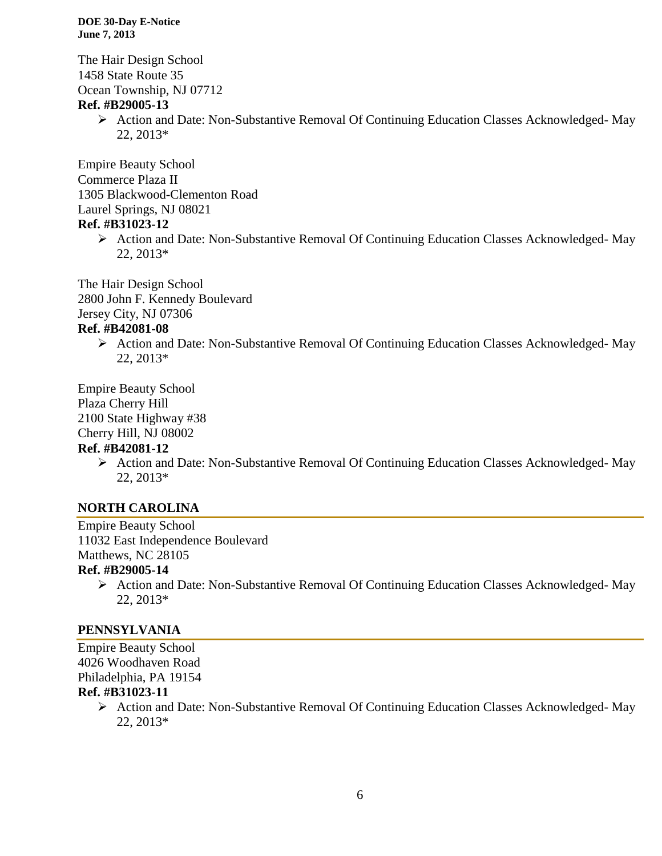The Hair Design School 1458 State Route 35 Ocean Township, NJ 07712

# **Ref. #B29005-13**

 $\triangleright$  Action and Date: Non-Substantive Removal Of Continuing Education Classes Acknowledged-May 22, 2013\*

Empire Beauty School Commerce Plaza II 1305 Blackwood-Clementon Road Laurel Springs, NJ 08021 **Ref. #B31023-12**

> $\triangleright$  Action and Date: Non-Substantive Removal Of Continuing Education Classes Acknowledged- May 22, 2013\*

The Hair Design School 2800 John F. Kennedy Boulevard Jersey City, NJ 07306

#### **Ref. #B42081-08**

 Action and Date: Non-Substantive Removal Of Continuing Education Classes Acknowledged- May 22, 2013\*

Empire Beauty School Plaza Cherry Hill 2100 State Highway #38 Cherry Hill, NJ 08002

# **Ref. #B42081-12**

 Action and Date: Non-Substantive Removal Of Continuing Education Classes Acknowledged- May 22, 2013\*

# **NORTH CAROLINA**

Empire Beauty School 11032 East Independence Boulevard Matthews, NC 28105

#### **Ref. #B29005-14**

 $\triangleright$  Action and Date: Non-Substantive Removal Of Continuing Education Classes Acknowledged- May 22, 2013\*

# **PENNSYLVANIA**

Empire Beauty School 4026 Woodhaven Road Philadelphia, PA 19154 **Ref. #B31023-11**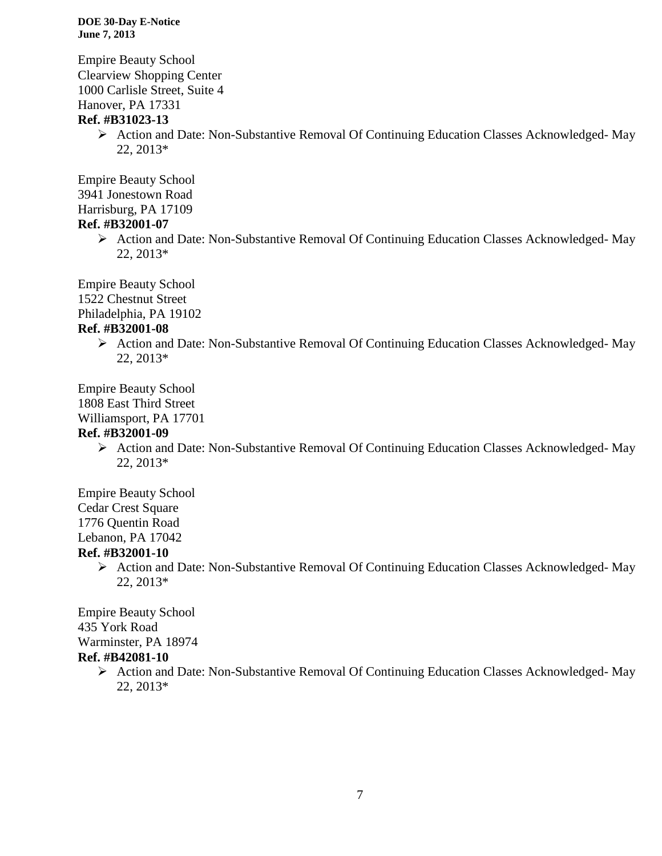Empire Beauty School Clearview Shopping Center 1000 Carlisle Street, Suite 4 Hanover, PA 17331 **Ref. #B31023-13**

> Action and Date: Non-Substantive Removal Of Continuing Education Classes Acknowledged- May 22, 2013\*

Empire Beauty School 3941 Jonestown Road Harrisburg, PA 17109 **Ref. #B32001-07**

 $\triangleright$  Action and Date: Non-Substantive Removal Of Continuing Education Classes Acknowledged- May 22, 2013\*

Empire Beauty School 1522 Chestnut Street Philadelphia, PA 19102

# **Ref. #B32001-08**

 Action and Date: Non-Substantive Removal Of Continuing Education Classes Acknowledged- May 22, 2013\*

Empire Beauty School

1808 East Third Street

Williamsport, PA 17701

#### **Ref. #B32001-09**

 Action and Date: Non-Substantive Removal Of Continuing Education Classes Acknowledged- May 22, 2013\*

Empire Beauty School

Cedar Crest Square

1776 Quentin Road

Lebanon, PA 17042

# **Ref. #B32001-10**

 $\triangleright$  Action and Date: Non-Substantive Removal Of Continuing Education Classes Acknowledged- May 22, 2013\*

Empire Beauty School 435 York Road Warminster, PA 18974

# **Ref. #B42081-10**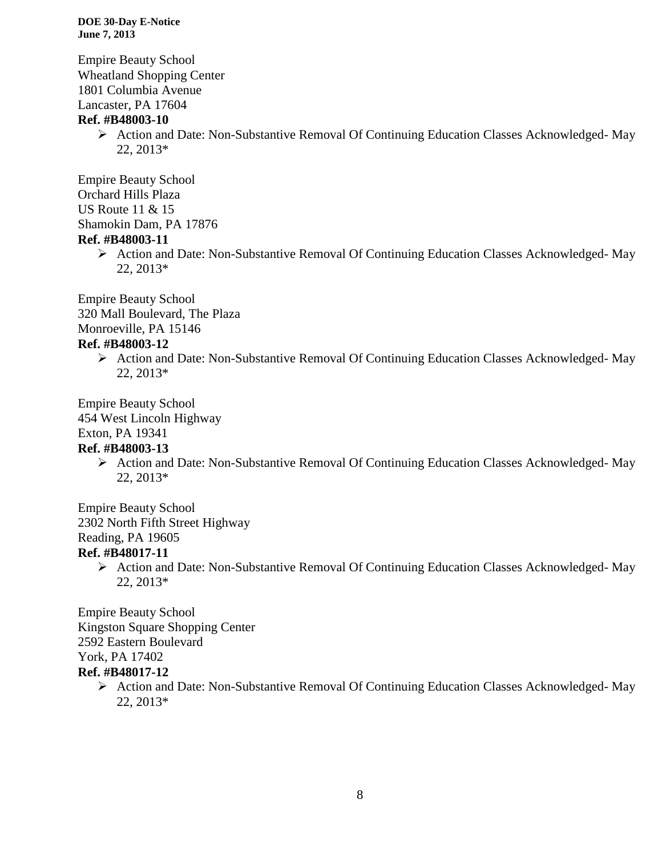Empire Beauty School Wheatland Shopping Center 1801 Columbia Avenue Lancaster, PA 17604 **Ref. #B48003-10**

> Action and Date: Non-Substantive Removal Of Continuing Education Classes Acknowledged- May 22, 2013\*

Empire Beauty School Orchard Hills Plaza US Route 11 & 15

Shamokin Dam, PA 17876

# **Ref. #B48003-11**

 Action and Date: Non-Substantive Removal Of Continuing Education Classes Acknowledged- May 22, 2013\*

Empire Beauty School 320 Mall Boulevard, The Plaza Monroeville, PA 15146

**Ref. #B48003-12**

 $\triangleright$  Action and Date: Non-Substantive Removal Of Continuing Education Classes Acknowledged-May 22, 2013\*

Empire Beauty School

454 West Lincoln Highway

Exton, PA 19341

# **Ref. #B48003-13**

 Action and Date: Non-Substantive Removal Of Continuing Education Classes Acknowledged- May 22, 2013\*

Empire Beauty School 2302 North Fifth Street Highway

Reading, PA 19605

# **Ref. #B48017-11**

 $\triangleright$  Action and Date: Non-Substantive Removal Of Continuing Education Classes Acknowledged-May 22, 2013\*

Empire Beauty School Kingston Square Shopping Center 2592 Eastern Boulevard

# York, PA 17402

# **Ref. #B48017-12**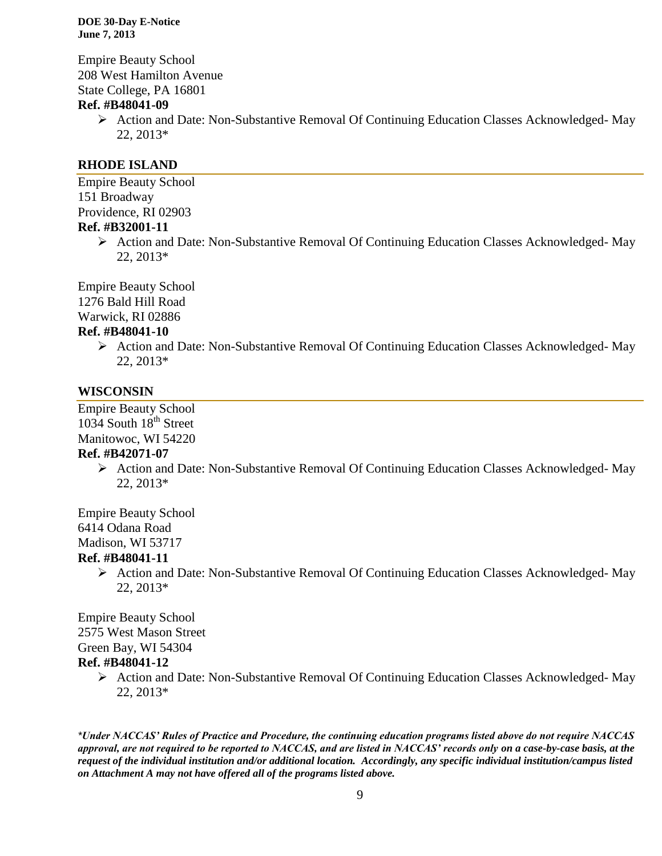Empire Beauty School 208 West Hamilton Avenue State College, PA 16801

#### **Ref. #B48041-09**

 $\triangleright$  Action and Date: Non-Substantive Removal Of Continuing Education Classes Acknowledged- May 22, 2013\*

#### **RHODE ISLAND**

Empire Beauty School 151 Broadway Providence, RI 02903

# **Ref. #B32001-11**

 $\triangleright$  Action and Date: Non-Substantive Removal Of Continuing Education Classes Acknowledged-May 22, 2013\*

Empire Beauty School 1276 Bald Hill Road Warwick, RI 02886

# **Ref. #B48041-10**

 $\triangleright$  Action and Date: Non-Substantive Removal Of Continuing Education Classes Acknowledged-May 22, 2013\*

#### **WISCONSIN**

Empire Beauty School 1034 South 18<sup>th</sup> Street Manitowoc, WI 54220

#### **Ref. #B42071-07**

 Action and Date: Non-Substantive Removal Of Continuing Education Classes Acknowledged- May 22, 2013\*

Empire Beauty School 6414 Odana Road

Madison, WI 53717

#### **Ref. #B48041-11**

 $\triangleright$  Action and Date: Non-Substantive Removal Of Continuing Education Classes Acknowledged-May 22, 2013\*

Empire Beauty School 2575 West Mason Street Green Bay, WI 54304 **Ref. #B48041-12**

> Action and Date: Non-Substantive Removal Of Continuing Education Classes Acknowledged- May 22, 2013\*

*\*Under NACCAS' Rules of Practice and Procedure, the continuing education programs listed above do not require NACCAS approval, are not required to be reported to NACCAS, and are listed in NACCAS' records only on a case-by-case basis, at the request of the individual institution and/or additional location. Accordingly, any specific individual institution/campus listed on Attachment A may not have offered all of the programs listed above.*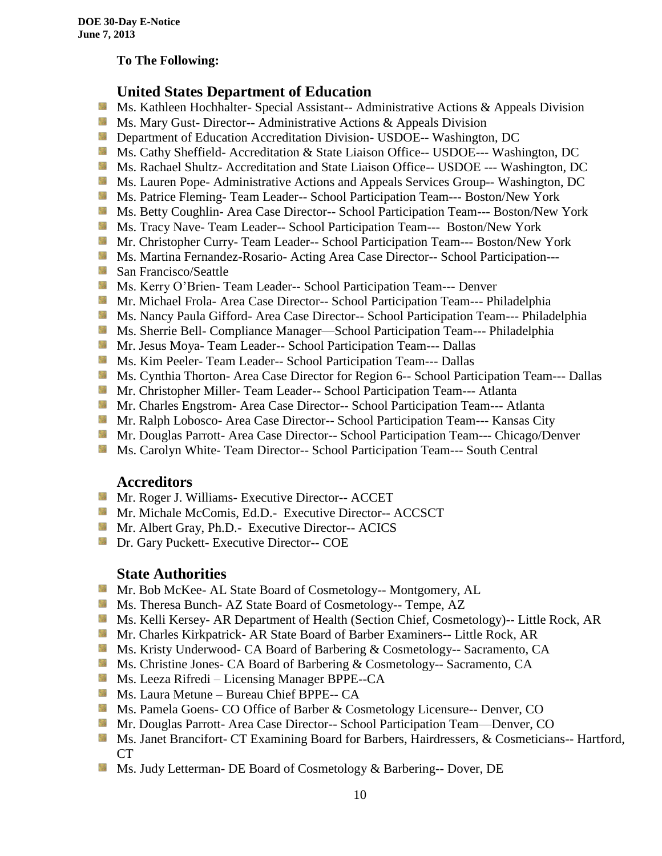#### **To The Following:**

# **United States Department of Education**

- **Ms. Kathleen Hochhalter- Special Assistant-- Administrative Actions & Appeals Division**
- **Ms.** Mary Gust- Director-- Administrative Actions  $\&$  Appeals Division
- **Department of Education Accreditation Division- USDOE-- Washington, DC**
- Ms. Cathy Sheffield- Accreditation & State Liaison Office-- USDOE--- Washington, DC
- **MS. Rachael Shultz- Accreditation and State Liaison Office-- USDOE --- Washington, DC**
- Ms. Lauren Pope- Administrative Actions and Appeals Services Group-- Washington, DC
- **Ms. Patrice Fleming- Team Leader-- School Participation Team--- Boston/New York**
- **MS. Betty Coughlin- Area Case Director-- School Participation Team--- Boston/New York**
- **MS. Tracy Nave-Team Leader-- School Participation Team--- Boston/New York**
- **Mr.** Christopher Curry- Team Leader-- School Participation Team--- Boston/New York
- Ms. Martina Fernandez-Rosario- Acting Area Case Director-- School Participation---
- **San Francisco/Seattle**
- **Ms. Kerry O'Brien- Team Leader-- School Participation Team--- Denver**
- **Mr. Michael Frola- Area Case Director-- School Participation Team--- Philadelphia**
- **Ms. Nancy Paula Gifford- Area Case Director-- School Participation Team--- Philadelphia**
- Ms. Sherrie Bell- Compliance Manager—School Participation Team--- Philadelphia
- Mr. Jesus Moya- Team Leader-- School Participation Team--- Dallas
- **MS. Kim Peeler- Team Leader-- School Participation Team--- Dallas**
- **Ms. Cynthia Thorton- Area Case Director for Region 6-- School Participation Team--- Dallas**
- **Mr.** Christopher Miller-Team Leader-- School Participation Team--- Atlanta
- **Mr.** Charles Engstrom- Area Case Director-- School Participation Team--- Atlanta
- Mr. Ralph Lobosco- Area Case Director-- School Participation Team--- Kansas City
- **Mr. Douglas Parrott- Area Case Director-- School Participation Team--- Chicago/Denver**
- **MS. Carolyn White-Team Director-- School Participation Team--- South Central**

#### **Accreditors**

- **Mr. Roger J. Williams- Executive Director-- ACCET**
- Mr. Michale McComis, Ed.D.- Executive Director-- ACCSCT
- **Mr.** Albert Gray, Ph.D.- Executive Director-- ACICS
- **Dr.** Gary Puckett- Executive Director-- COE

#### **State Authorities**

- Mr. Bob McKee- AL State Board of Cosmetology-- Montgomery, AL
- Ms. Theresa Bunch- AZ State Board of Cosmetology-- Tempe, AZ
- **Ms. Kelli Kersey- AR Department of Health (Section Chief, Cosmetology)**-- Little Rock, AR
- Mr. Charles Kirkpatrick- AR State Board of Barber Examiners-- Little Rock, AR
- Ms. Kristy Underwood- CA Board of Barbering & Cosmetology-- Sacramento, CA
- Ms. Christine Jones- CA Board of Barbering & Cosmetology-- Sacramento, CA
- **Ms. Leeza Rifredi** Licensing Manager BPPE--CA
- **Ms. Laura Metune Bureau Chief BPPE-- CA**
- **Ms. Pamela Goens- CO Office of Barber & Cosmetology Licensure-- Denver, CO**
- **Mr. Douglas Parrott- Area Case Director-- School Participation Team—Denver, CO**
- Ms. Janet Brancifort- CT Examining Board for Barbers, Hairdressers, & Cosmeticians-- Hartford, CT
- Ms. Judy Letterman- DE Board of Cosmetology & Barbering-- Dover, DE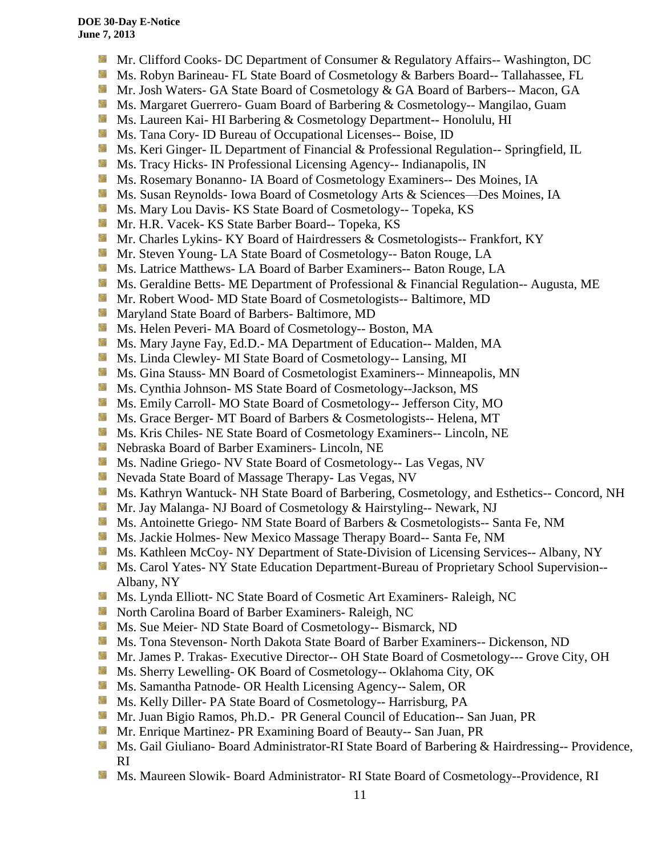- **Mr.** Clifford Cooks- DC Department of Consumer & Regulatory Affairs-- Washington, DC
- Ms. Robyn Barineau- FL State Board of Cosmetology & Barbers Board-- Tallahassee, FL
- Mr. Josh Waters- GA State Board of Cosmetology & GA Board of Barbers-- Macon, GA
- **Ms. Margaret Guerrero- Guam Board of Barbering & Cosmetology-- Mangilao, Guam**
- **Ms. Laureen Kai- HI Barbering & Cosmetology Department-- Honolulu, HI**
- **Ms.** Tana Cory- ID Bureau of Occupational Licenses-- Boise, ID
- **Ms.** Keri Ginger- IL Department of Financial & Professional Regulation-- Springfield, IL
- **Ms.** Tracy Hicks- IN Professional Licensing Agency-- Indianapolis, IN
- Side. Ms. Rosemary Bonanno- IA Board of Cosmetology Examiners-- Des Moines, IA
- Ms. Susan Reynolds- Iowa Board of Cosmetology Arts & Sciences—Des Moines, IA
- **Ms. Mary Lou Davis- KS State Board of Cosmetology-- Topeka, KS**
- 56 Mr. H.R. Vacek- KS State Barber Board-- Topeka, KS
- Mr. Charles Lykins- KY Board of Hairdressers & Cosmetologists-- Frankfort, KY
- Mr. Steven Young- LA State Board of Cosmetology-- Baton Rouge, LA
- **Ms.** Latrice Matthews- LA Board of Barber Examiners-- Baton Rouge, LA
- **Ms.** Geraldine Betts- ME Department of Professional & Financial Regulation-- Augusta, ME
- **Mr.** Robert Wood- MD State Board of Cosmetologists-- Baltimore, MD
- **Maryland State Board of Barbers- Baltimore, MD**
- Ms. Helen Peveri- MA Board of Cosmetology-- Boston, MA
- Ms. Mary Jayne Fay, Ed.D.- MA Department of Education-- Malden, MA
- **Ms.** Linda Clewley- MI State Board of Cosmetology-- Lansing, MI
- Ms. Gina Stauss- MN Board of Cosmetologist Examiners-- Minneapolis, MN
- Ms. Cynthia Johnson- MS State Board of Cosmetology--Jackson, MS
- Ms. Emily Carroll- MO State Board of Cosmetology-- Jefferson City, MO
- 59 Ms. Grace Berger- MT Board of Barbers & Cosmetologists-- Helena, MT
- **Ms. Kris Chiles- NE State Board of Cosmetology Examiners-- Lincoln, NE**
- Nebraska Board of Barber Examiners- Lincoln, NE
- Ms. Nadine Griego- NV State Board of Cosmetology-- Las Vegas, NV
- Nevada State Board of Massage Therapy- Las Vegas, NV
- Ms. Kathryn Wantuck- NH State Board of Barbering, Cosmetology, and Esthetics-- Concord, NH
- **Mr. Jay Malanga- NJ Board of Cosmetology & Hairstyling-- Newark, NJ**
- Ms. Antoinette Griego- NM State Board of Barbers & Cosmetologists-- Santa Fe, NM
- **Ms. Jackie Holmes- New Mexico Massage Therapy Board-- Santa Fe, NM**
- Ms. Kathleen McCoy- NY Department of State-Division of Licensing Services-- Albany, NY
- **Ms. Carol Yates- NY State Education Department-Bureau of Proprietary School Supervision--**Albany, NY
- **Ms. Lynda Elliott- NC State Board of Cosmetic Art Examiners- Raleigh, NC**
- **North Carolina Board of Barber Examiners- Raleigh, NC**
- **Ms.** Sue Meier- ND State Board of Cosmetology-- Bismarck, ND
- Ms. Tona Stevenson- North Dakota State Board of Barber Examiners-- Dickenson, ND
- **Mr. James P. Trakas- Executive Director-- OH State Board of Cosmetology--- Grove City, OH**
- Ms. Sherry Lewelling- OK Board of Cosmetology-- Oklahoma City, OK
- **Ms. Samantha Patnode- OR Health Licensing Agency-- Salem, OR**
- **Ms. Kelly Diller-PA State Board of Cosmetology-- Harrisburg, PA**
- Mr. Juan Bigio Ramos, Ph.D.- PR General Council of Education-- San Juan, PR
- **Mr.** Enrique Martinez- PR Examining Board of Beauty-- San Juan, PR
- Ms. Gail Giuliano- Board Administrator-RI State Board of Barbering & Hairdressing-- Providence, RI
- Ms. Maureen Slowik- Board Administrator- RI State Board of Cosmetology--Providence, RISB.